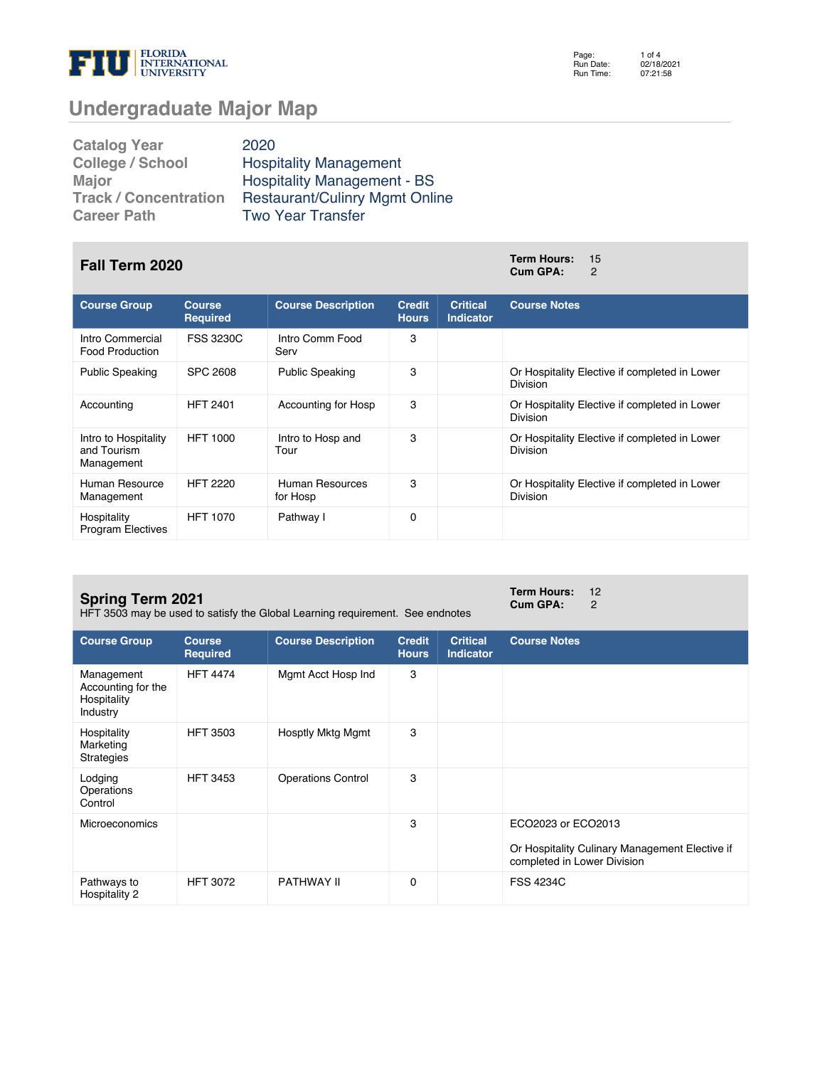

Page: Run Date: Run Time: 1 of 4 02/18/2021 07:21:58

# **Undergraduate Major Map**

| <b>Catalog Year</b>          | 2020                                  |
|------------------------------|---------------------------------------|
| <b>College / School</b>      | <b>Hospitality Management</b>         |
| Major                        | <b>Hospitality Management - BS</b>    |
| <b>Track / Concentration</b> | <b>Restaurant/Culinry Mgmt Online</b> |
| <b>Career Path</b>           | <b>Two Year Transfer</b>              |

### **Fall Term 2020 Term Hours:** <sup>15</sup>

| <b>Course Group</b>                               | <b>Course</b><br><b>Required</b> | <b>Course Description</b>   | <b>Credit</b><br><b>Hours</b> | <b>Critical</b><br><b>Indicator</b> | <b>Course Notes</b>                                              |
|---------------------------------------------------|----------------------------------|-----------------------------|-------------------------------|-------------------------------------|------------------------------------------------------------------|
| Intro Commercial<br>Food Production               | <b>FSS 3230C</b>                 | Intro Comm Food<br>Serv     | 3                             |                                     |                                                                  |
| <b>Public Speaking</b>                            | <b>SPC 2608</b>                  | <b>Public Speaking</b>      | 3                             |                                     | Or Hospitality Elective if completed in Lower<br><b>Division</b> |
| Accounting                                        | <b>HFT 2401</b>                  | Accounting for Hosp         | 3                             |                                     | Or Hospitality Elective if completed in Lower<br><b>Division</b> |
| Intro to Hospitality<br>and Tourism<br>Management | <b>HFT 1000</b>                  | Intro to Hosp and<br>Tour   | 3                             |                                     | Or Hospitality Elective if completed in Lower<br><b>Division</b> |
| Human Resource<br>Management                      | <b>HFT 2220</b>                  | Human Resources<br>for Hosp | 3                             |                                     | Or Hospitality Elective if completed in Lower<br><b>Division</b> |
| Hospitality<br><b>Program Electives</b>           | <b>HFT 1070</b>                  | Pathway I                   | $\Omega$                      |                                     |                                                                  |

#### **Spring Term 2021**

HFT 3503 may be used to satisfy the Global Learning requirement. See endnotes

**Term Hours:** 12<br>**Cum GPA:** 2 **Cum GPA:** 2

| <b>Course Group</b>                                         | <b>Course</b><br><b>Required</b> | <b>Course Description</b> | <b>Credit</b><br><b>Hours</b> | <b>Critical</b><br>Indicator | <b>Course Notes</b>                                                                                 |
|-------------------------------------------------------------|----------------------------------|---------------------------|-------------------------------|------------------------------|-----------------------------------------------------------------------------------------------------|
| Management<br>Accounting for the<br>Hospitality<br>Industry | <b>HFT 4474</b>                  | Mgmt Acct Hosp Ind        | 3                             |                              |                                                                                                     |
| Hospitality<br>Marketing<br>Strategies                      | <b>HFT 3503</b>                  | <b>Hosptly Mktg Mgmt</b>  | 3                             |                              |                                                                                                     |
| Lodging<br>Operations<br>Control                            | <b>HFT 3453</b>                  | <b>Operations Control</b> | 3                             |                              |                                                                                                     |
| <b>Microeconomics</b>                                       |                                  |                           | 3                             |                              | ECO2023 or ECO2013<br>Or Hospitality Culinary Management Elective if<br>completed in Lower Division |
| Pathways to<br>Hospitality 2                                | <b>HFT 3072</b>                  | PATHWAY II                | 0                             |                              | <b>FSS 4234C</b>                                                                                    |

**Cum GPA:** 2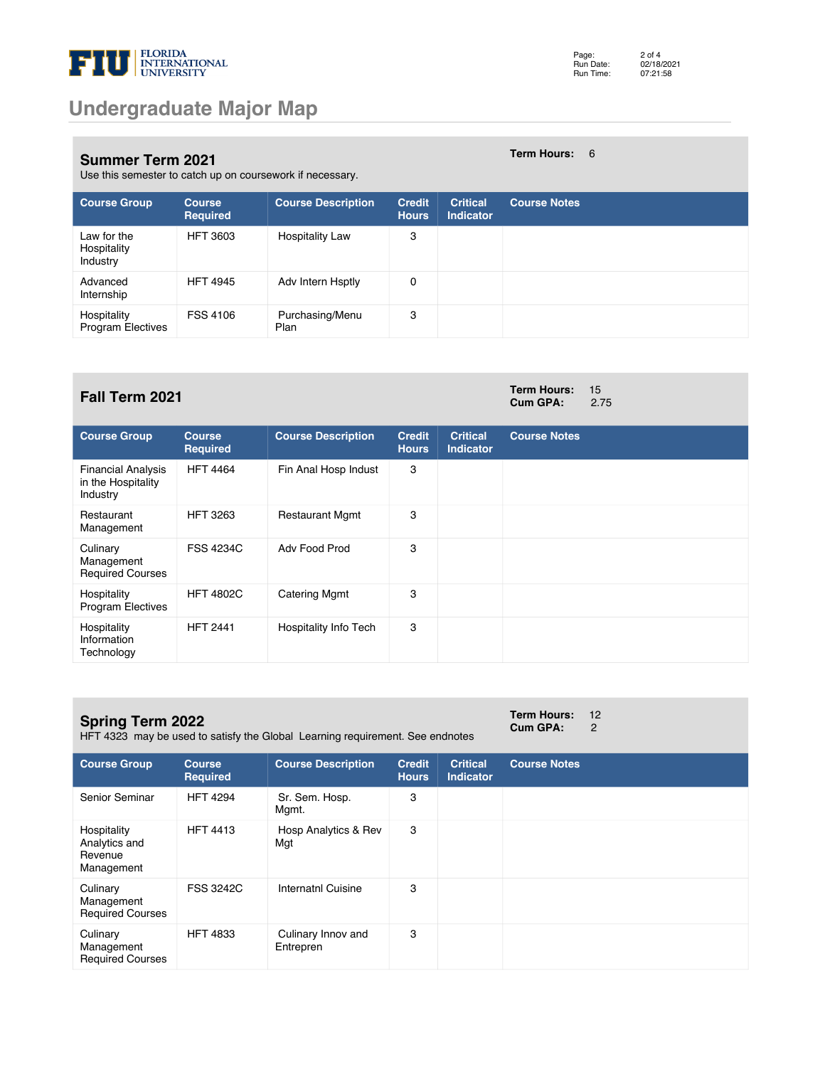

**Term Hours:** 6

**Cum GPA:** 2.75

#### **Summer Term 2021**

Use this semester to catch up on coursework if necessary.

| <b>Course Group</b>                     | <b>Course</b><br>Required | <b>Course Description</b> | <b>Credit</b><br><b>Hours</b> | <b>Critical</b><br><b>Indicator</b> | <b>Course Notes</b> |
|-----------------------------------------|---------------------------|---------------------------|-------------------------------|-------------------------------------|---------------------|
| Law for the<br>Hospitality<br>Industry  | <b>HFT 3603</b>           | <b>Hospitality Law</b>    | 3                             |                                     |                     |
| Advanced<br>Internship                  | <b>HFT 4945</b>           | Adv Intern Hsptly         | 0                             |                                     |                     |
| Hospitality<br><b>Program Electives</b> | <b>FSS 4106</b>           | Purchasing/Menu<br>Plan   | 3                             |                                     |                     |

### **Fall Term 2021 Term Hours:** 15

| <b>Course Group</b>                                         | <b>Course</b><br>Required | <b>Course Description</b> | <b>Credit</b><br><b>Hours</b> | <b>Critical</b><br><b>Indicator</b> | <b>Course Notes</b> |
|-------------------------------------------------------------|---------------------------|---------------------------|-------------------------------|-------------------------------------|---------------------|
| <b>Financial Analysis</b><br>in the Hospitality<br>Industry | <b>HFT 4464</b>           | Fin Anal Hosp Indust      | 3                             |                                     |                     |
| Restaurant<br>Management                                    | <b>HFT 3263</b>           | <b>Restaurant Mgmt</b>    | 3                             |                                     |                     |
| Culinary<br>Management<br><b>Required Courses</b>           | <b>FSS 4234C</b>          | Adv Food Prod             | 3                             |                                     |                     |
| Hospitality<br><b>Program Electives</b>                     | <b>HFT 4802C</b>          | <b>Catering Mgmt</b>      | 3                             |                                     |                     |
| Hospitality<br>Information<br>Technology                    | <b>HFT 2441</b>           | Hospitality Info Tech     | 3                             |                                     |                     |

#### **Spring Term 2022**

HFT 4323 may be used to satisfy the Global Learning requirement. See endnotes

**Term Hours:** 12<br>**Cum GPA:** 2 **Cum GPA:** 2

| <b>Course Group</b>                                   | <b>Course</b><br><b>Required</b> | <b>Course Description</b>       | <b>Credit</b><br><b>Hours</b> | <b>Critical</b><br><b>Indicator</b> | <b>Course Notes</b> |
|-------------------------------------------------------|----------------------------------|---------------------------------|-------------------------------|-------------------------------------|---------------------|
| Senior Seminar                                        | <b>HFT 4294</b>                  | Sr. Sem. Hosp.<br>Mgmt.         | 3                             |                                     |                     |
| Hospitality<br>Analytics and<br>Revenue<br>Management | <b>HFT 4413</b>                  | Hosp Analytics & Rev<br>Mgt     | 3                             |                                     |                     |
| Culinary<br>Management<br><b>Required Courses</b>     | <b>FSS 3242C</b>                 | Internatnl Cuisine              | 3                             |                                     |                     |
| Culinary<br>Management<br><b>Required Courses</b>     | <b>HFT 4833</b>                  | Culinary Innov and<br>Entrepren | 3                             |                                     |                     |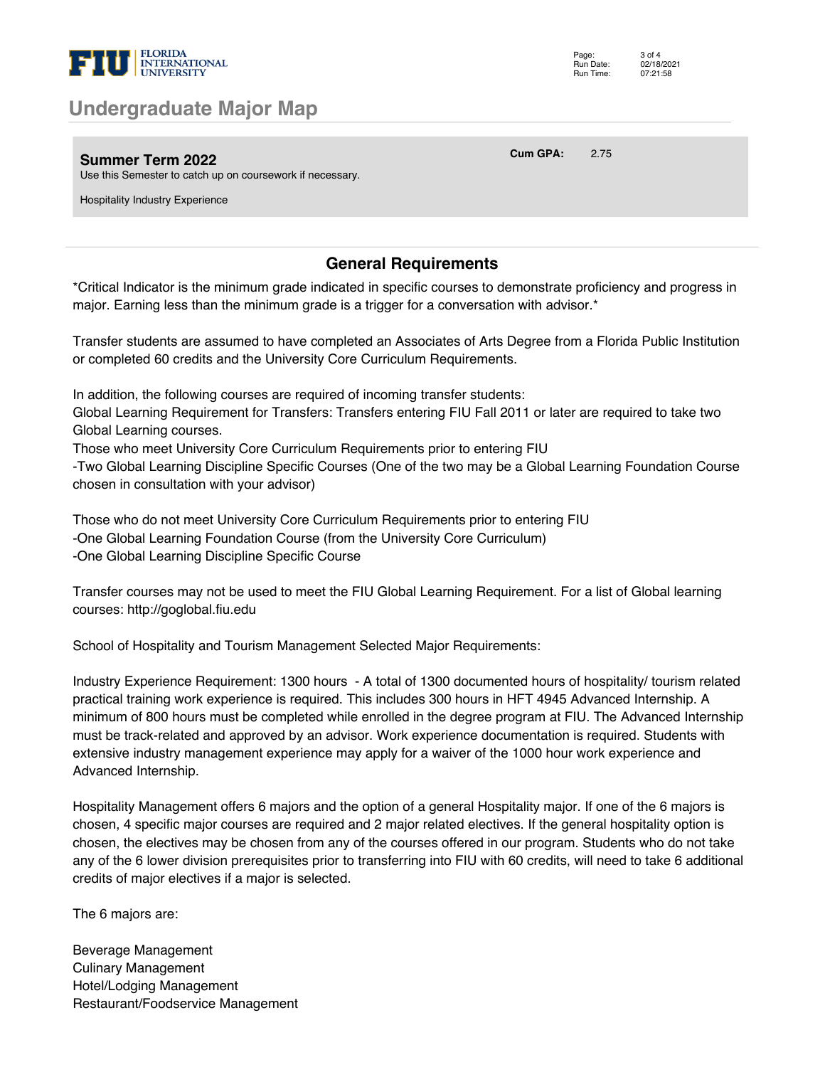

### **Undergraduate Major Map**

**Summer Term 2022**

**Cum GPA:** 2.75

Use this Semester to catch up on coursework if necessary.

Hospitality Industry Experience

### **General Requirements**

\*Critical Indicator is the minimum grade indicated in specific courses to demonstrate proficiency and progress in major. Earning less than the minimum grade is a trigger for a conversation with advisor.\*

Transfer students are assumed to have completed an Associates of Arts Degree from a Florida Public Institution or completed 60 credits and the University Core Curriculum Requirements.

In addition, the following courses are required of incoming transfer students:

Global Learning Requirement for Transfers: Transfers entering FIU Fall 2011 or later are required to take two Global Learning courses.

Those who meet University Core Curriculum Requirements prior to entering FIU

-Two Global Learning Discipline Specific Courses (One of the two may be a Global Learning Foundation Course chosen in consultation with your advisor)

Those who do not meet University Core Curriculum Requirements prior to entering FIU -One Global Learning Foundation Course (from the University Core Curriculum) -One Global Learning Discipline Specific Course

Transfer courses may not be used to meet the FIU Global Learning Requirement. For a list of Global learning courses: http://goglobal.fiu.edu

School of Hospitality and Tourism Management Selected Major Requirements:

Industry Experience Requirement: 1300 hours - A total of 1300 documented hours of hospitality/ tourism related practical training work experience is required. This includes 300 hours in HFT 4945 Advanced Internship. A minimum of 800 hours must be completed while enrolled in the degree program at FIU. The Advanced Internship must be track-related and approved by an advisor. Work experience documentation is required. Students with extensive industry management experience may apply for a waiver of the 1000 hour work experience and Advanced Internship.

Hospitality Management offers 6 majors and the option of a general Hospitality major. If one of the 6 majors is chosen, 4 specific major courses are required and 2 major related electives. If the general hospitality option is chosen, the electives may be chosen from any of the courses offered in our program. Students who do not take any of the 6 lower division prerequisites prior to transferring into FIU with 60 credits, will need to take 6 additional credits of major electives if a major is selected.

The 6 majors are:

Beverage Management Culinary Management Hotel/Lodging Management Restaurant/Foodservice Management